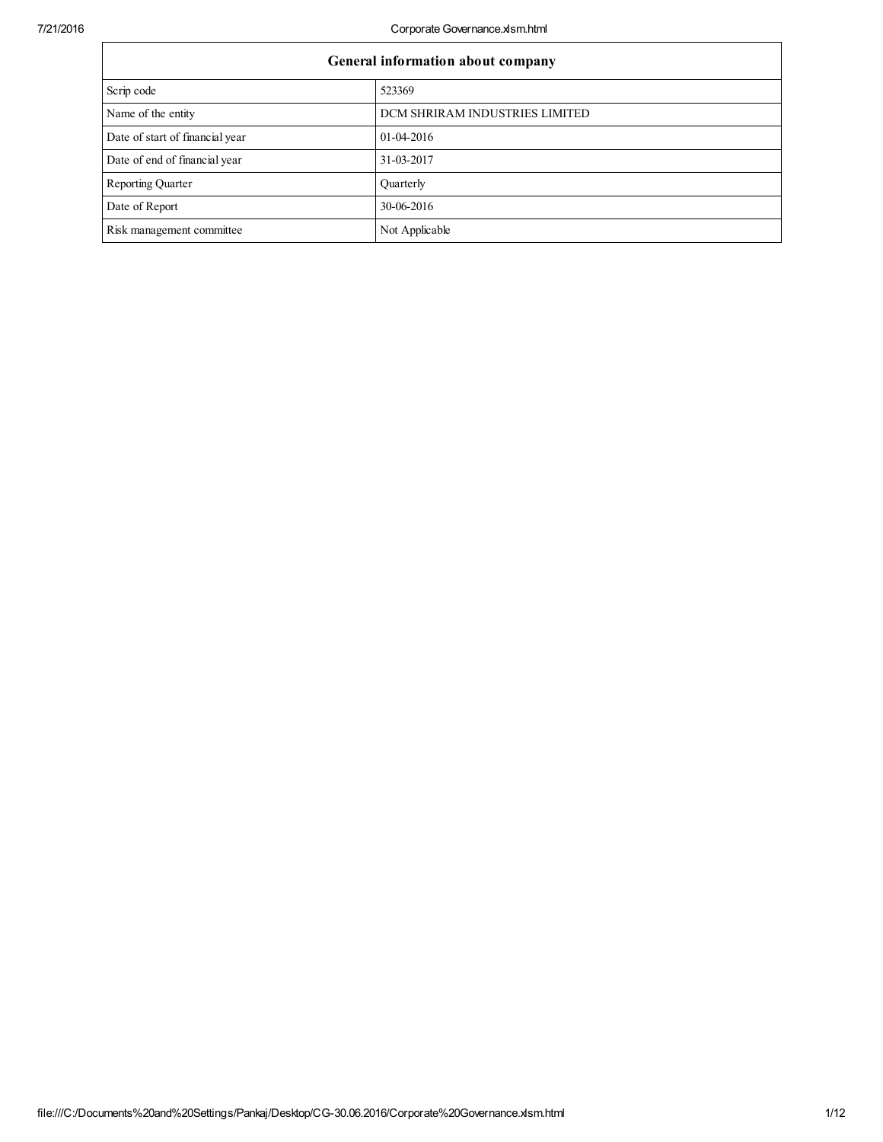| General information about company |                                |  |  |  |  |
|-----------------------------------|--------------------------------|--|--|--|--|
| Scrip code                        | 523369                         |  |  |  |  |
| Name of the entity                | DCM SHRIRAM INDUSTRIES LIMITED |  |  |  |  |
| Date of start of financial year   | 01-04-2016                     |  |  |  |  |
| Date of end of financial year     | 31-03-2017                     |  |  |  |  |
| Reporting Quarter                 | Quarterly                      |  |  |  |  |
| Date of Report                    | 30-06-2016                     |  |  |  |  |
| Risk management committee         | Not Applicable                 |  |  |  |  |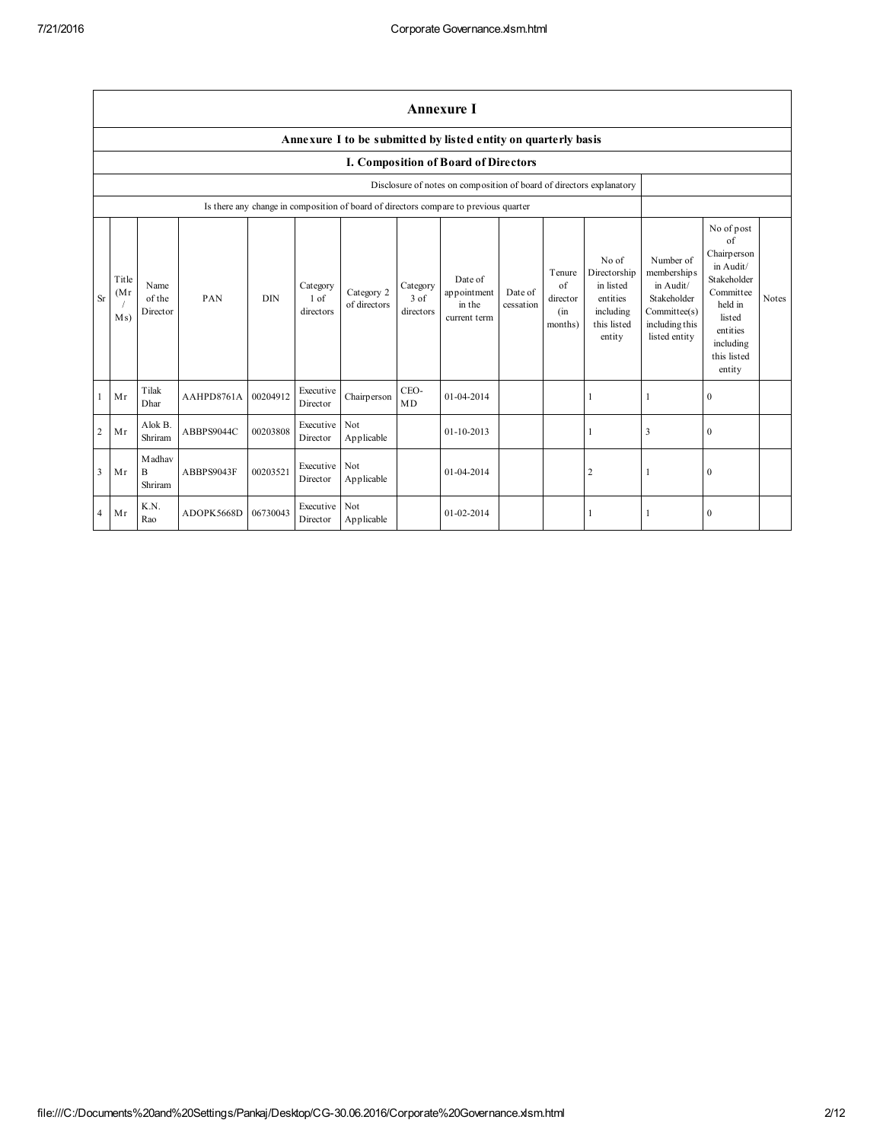|                | Annexure I                                                     |                                   |            |            |                               |                            |                                 |                                                                                      |                      |                                                    |                                                                                      |                                                                                                         |                                                                                                                                                 |              |
|----------------|----------------------------------------------------------------|-----------------------------------|------------|------------|-------------------------------|----------------------------|---------------------------------|--------------------------------------------------------------------------------------|----------------------|----------------------------------------------------|--------------------------------------------------------------------------------------|---------------------------------------------------------------------------------------------------------|-------------------------------------------------------------------------------------------------------------------------------------------------|--------------|
|                | Annexure I to be submitted by listed entity on quarterly basis |                                   |            |            |                               |                            |                                 |                                                                                      |                      |                                                    |                                                                                      |                                                                                                         |                                                                                                                                                 |              |
|                |                                                                |                                   |            |            |                               |                            |                                 | I. Composition of Board of Directors                                                 |                      |                                                    |                                                                                      |                                                                                                         |                                                                                                                                                 |              |
|                |                                                                |                                   |            |            |                               |                            |                                 | Disclosure of notes on composition of board of directors explanatory                 |                      |                                                    |                                                                                      |                                                                                                         |                                                                                                                                                 |              |
|                |                                                                |                                   |            |            |                               |                            |                                 | Is there any change in composition of board of directors compare to previous quarter |                      |                                                    |                                                                                      |                                                                                                         |                                                                                                                                                 |              |
| <b>Sr</b>      | Title<br>(Mr)<br>Ms)                                           | Name<br>of the<br>Director        | PAN        | <b>DIN</b> | Category<br>1 of<br>directors | Category 2<br>of directors | Category<br>$3$ of<br>directors | Date of<br>appointment<br>in the<br>current term                                     | Date of<br>cessation | Tenure<br>$\alpha$ f<br>director<br>(in<br>months) | No of<br>Directorship<br>in listed<br>entities<br>including<br>this listed<br>entity | Number of<br>memberships<br>in Audit/<br>Stakeholder<br>Committee(s)<br>including this<br>listed entity | No of post<br>of<br>Chairperson<br>in Audit/<br>Stakeholder<br>Committee<br>held in<br>listed<br>entities<br>including<br>this listed<br>entity | <b>Notes</b> |
|                | Mr                                                             | Tilak<br>Dhar                     | AAHPD8761A | 00204912   | Executive<br>Director         | Chairperson                | CEO-<br>MD                      | 01-04-2014                                                                           |                      |                                                    |                                                                                      | 1                                                                                                       | $\mathbf{0}$                                                                                                                                    |              |
| $\overline{2}$ | Mr                                                             | Alok B.<br>Shriram                | ABBPS9044C | 00203808   | Executive<br>Director         | Not<br>Applicable          |                                 | $01 - 10 - 2013$                                                                     |                      |                                                    |                                                                                      | 3                                                                                                       | $\mathbf{0}$                                                                                                                                    |              |
| $\overline{3}$ | Mr                                                             | M adhav<br>$\mathbf B$<br>Shriram | ABBPS9043F | 00203521   | Executive Not<br>Director     | Applicable                 |                                 | 01-04-2014                                                                           |                      |                                                    | $\overline{\mathbf{c}}$                                                              | 1                                                                                                       | $\mathbf{0}$                                                                                                                                    |              |
| $\overline{4}$ | Mr                                                             | K.N.<br>Rao                       | ADOPK5668D | 06730043   | Executive Not<br>Director     | Applicable                 |                                 | 01-02-2014                                                                           |                      |                                                    |                                                                                      | 1                                                                                                       | $\mathbf{0}$                                                                                                                                    |              |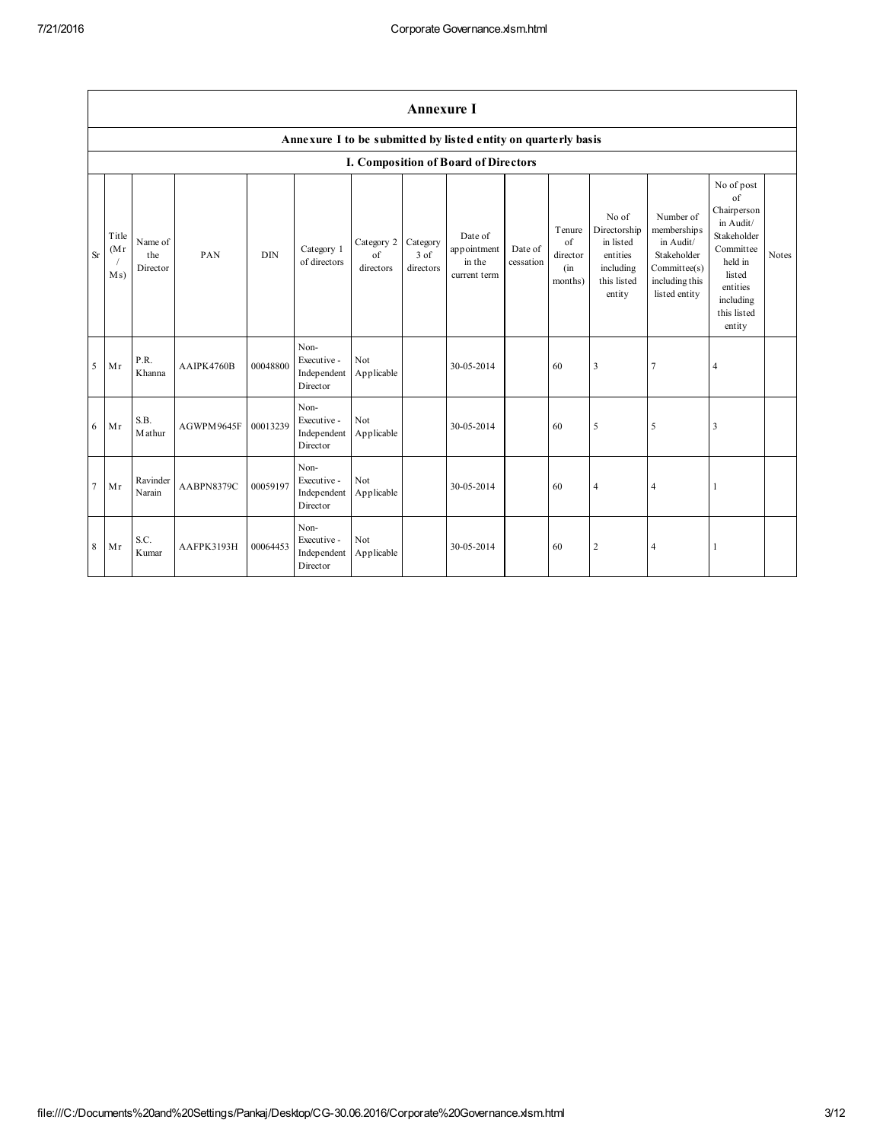|           | <b>Annexure I</b>    |                            |                   |            |                                                |                               |                               |                                                                |                      |                                            |                                                                                      |                                                                                                          |                                                                                                                                                 |              |
|-----------|----------------------|----------------------------|-------------------|------------|------------------------------------------------|-------------------------------|-------------------------------|----------------------------------------------------------------|----------------------|--------------------------------------------|--------------------------------------------------------------------------------------|----------------------------------------------------------------------------------------------------------|-------------------------------------------------------------------------------------------------------------------------------------------------|--------------|
|           |                      |                            |                   |            |                                                |                               |                               | Annexure I to be submitted by listed entity on quarterly basis |                      |                                            |                                                                                      |                                                                                                          |                                                                                                                                                 |              |
|           |                      |                            |                   |            |                                                |                               |                               | I. Composition of Board of Directors                           |                      |                                            |                                                                                      |                                                                                                          |                                                                                                                                                 |              |
| <b>Sr</b> | Title<br>(Mr)<br>Ms) | Name of<br>the<br>Director | PAN               | <b>DIN</b> | Category 1<br>of directors                     | Category 2<br>of<br>directors | Category<br>3 of<br>directors | Date of<br>appointment<br>in the<br>current term               | Date of<br>cessation | Tenure<br>of<br>director<br>(in<br>months) | No of<br>Directorship<br>in listed<br>entities<br>including<br>this listed<br>entity | Number of<br>membership s<br>in Audit/<br>Stakeholder<br>Committed(s)<br>including this<br>listed entity | No of post<br>of<br>Chairperson<br>in Audit/<br>Stakeholder<br>Committee<br>held in<br>listed<br>entities<br>including<br>this listed<br>entity | <b>Notes</b> |
| 5         | Mr                   | P.R.<br>Khanna             | <b>AAIPK4760B</b> | 00048800   | Non-<br>Executive -<br>Independent<br>Director | <b>Not</b><br>Applicable      |                               | 30-05-2014                                                     |                      | 60                                         | 3                                                                                    | 7                                                                                                        | $\overline{4}$                                                                                                                                  |              |
| 6         | Mr                   | S.B.<br>Mathur             | AGWPM9645F        | 00013239   | Non-<br>Executive -<br>Independent<br>Director | Not<br>Applicable             |                               | 30-05-2014                                                     |                      | 60                                         | 5                                                                                    | 5                                                                                                        | 3                                                                                                                                               |              |
| $\tau$    | Mr                   | Ravinder<br>Narain         | AABPN8379C        | 00059197   | Non-<br>Executive -<br>Independent<br>Director | Not<br>Applicable             |                               | 30-05-2014                                                     |                      | 60                                         | $\overline{4}$                                                                       | $\overline{4}$                                                                                           |                                                                                                                                                 |              |
| 8         | Mr                   | S.C.<br>Kumar              | AAFPK3193H        | 00064453   | Non-<br>Executive -<br>Independent<br>Director | Not<br>Applicable             |                               | 30-05-2014                                                     |                      | 60                                         | $\sqrt{2}$                                                                           | $\overline{4}$                                                                                           |                                                                                                                                                 |              |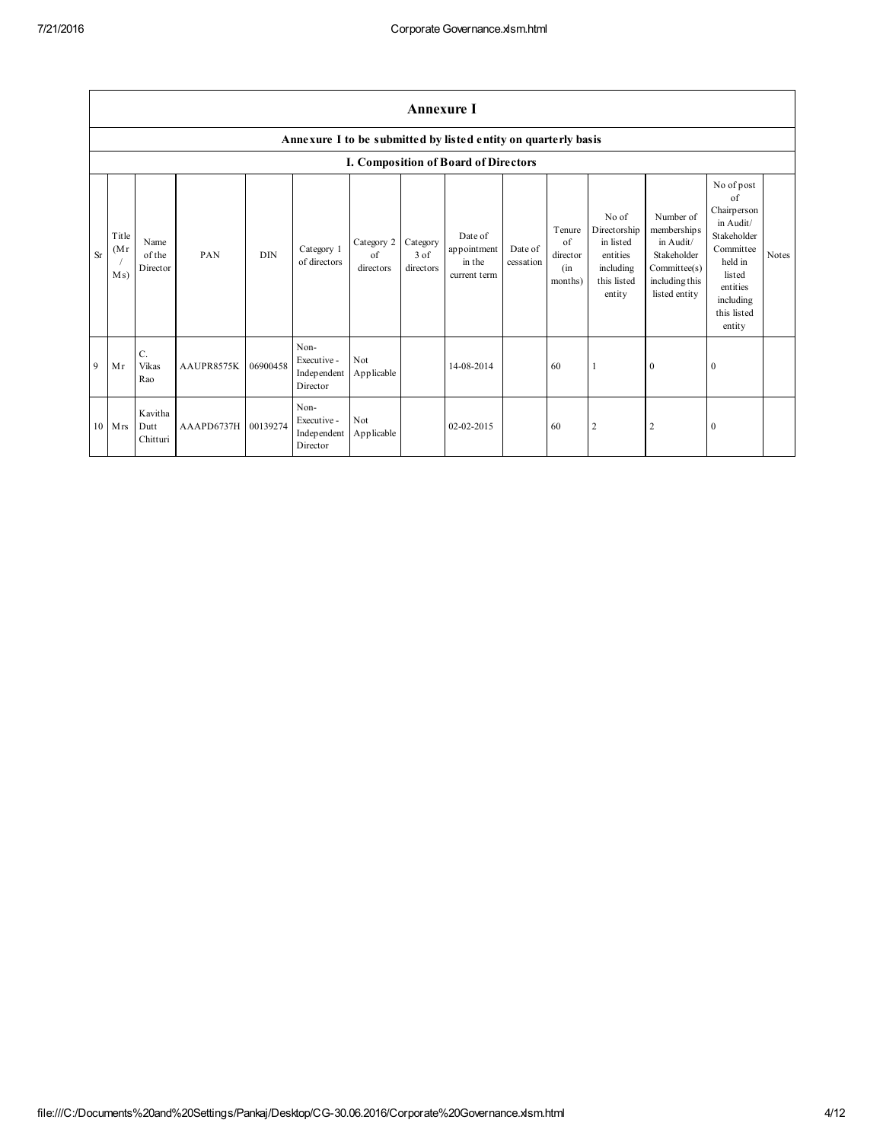|          | <b>Annexure I</b>     |                             |                     |            |                                                |                               |                               |                                                                |                      |                                                    |                                                                                      |                                                                                                         |                                                                                                                                                 |       |
|----------|-----------------------|-----------------------------|---------------------|------------|------------------------------------------------|-------------------------------|-------------------------------|----------------------------------------------------------------|----------------------|----------------------------------------------------|--------------------------------------------------------------------------------------|---------------------------------------------------------------------------------------------------------|-------------------------------------------------------------------------------------------------------------------------------------------------|-------|
|          |                       |                             |                     |            |                                                |                               |                               | Annexure I to be submitted by listed entity on quarterly basis |                      |                                                    |                                                                                      |                                                                                                         |                                                                                                                                                 |       |
|          |                       |                             |                     |            |                                                |                               |                               | I. Composition of Board of Directors                           |                      |                                                    |                                                                                      |                                                                                                         |                                                                                                                                                 |       |
| $\rm Sr$ | Title<br>(Mr)<br>M s) | Name<br>of the<br>Director  | PAN                 | <b>DIN</b> | Category 1<br>of directors                     | Category 2<br>of<br>directors | Category<br>3 of<br>directors | Date of<br>appointment<br>in the<br>current term               | Date of<br>cessation | Tenure<br>$\alpha$ f<br>director<br>(in<br>months) | No of<br>Directorship<br>in listed<br>entities<br>including<br>this listed<br>entity | Number of<br>memberships<br>in Audit/<br>Stakeholder<br>Committee(s)<br>including this<br>listed entity | No of post<br>of<br>Chairperson<br>in Audit/<br>Stakeholder<br>Committee<br>held in<br>listed<br>entities<br>including<br>this listed<br>entity | Notes |
| 9        | Mr                    | C.<br>Vikas<br>Rao          | AAUPR8575K          | 06900458   | Non-<br>Executive -<br>Independent<br>Director | Not<br>Applicable             |                               | 14-08-2014                                                     |                      | 60                                                 |                                                                                      | $\mathbf{0}$                                                                                            | $\mathbf{0}$                                                                                                                                    |       |
|          | $10$ Mrs              | Kavitha<br>Dutt<br>Chitturi | AAAPD6737H 00139274 |            | Non-<br>Executive -<br>Independent<br>Director | Not<br>Applicable             |                               | 02-02-2015                                                     |                      | 60                                                 | $\overline{2}$                                                                       | $\overline{2}$                                                                                          | $\mathbf{0}$                                                                                                                                    |       |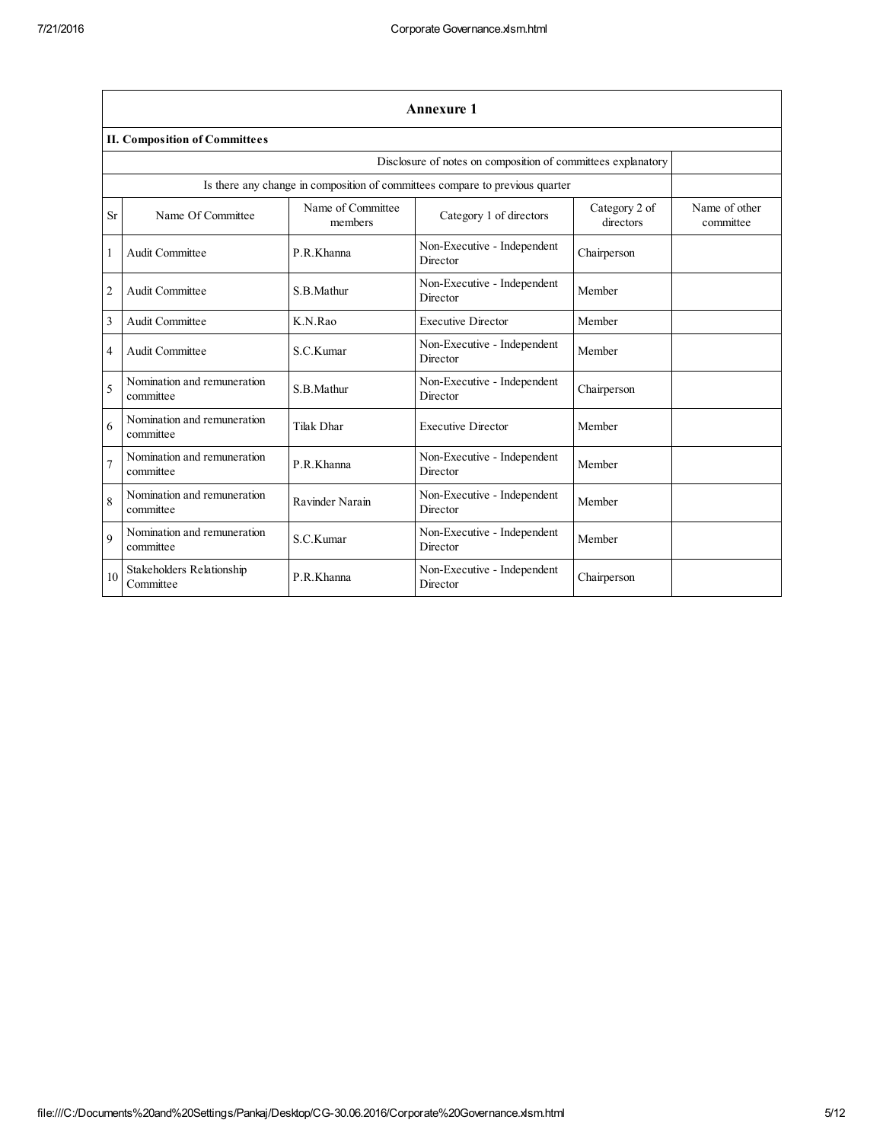|                | <b>Annexure 1</b>                             |                              |                                                                              |                            |                            |  |
|----------------|-----------------------------------------------|------------------------------|------------------------------------------------------------------------------|----------------------------|----------------------------|--|
|                | <b>II. Composition of Committees</b>          |                              |                                                                              |                            |                            |  |
|                |                                               |                              | Disclosure of notes on composition of committees explanatory                 |                            |                            |  |
|                |                                               |                              | Is there any change in composition of committees compare to previous quarter |                            |                            |  |
| <b>Sr</b>      | Name Of Committee                             | Name of Committee<br>members | Category 1 of directors                                                      | Category 2 of<br>directors | Name of other<br>committee |  |
| 1              | Audit Committee                               | P.R.Khanna                   | Non-Executive - Independent<br>Director                                      | Chairperson                |                            |  |
| $\overline{c}$ | Audit Committee                               | S.B.Mathur                   | Non-Executive - Independent<br>Director                                      | Member                     |                            |  |
| 3              | Audit Committee                               | K.N.Rao                      | <b>Executive Director</b>                                                    | Member                     |                            |  |
| $\overline{4}$ | Audit Committee                               | S.C.Kumar                    | Non-Executive - Independent<br>Director                                      | Member                     |                            |  |
| 5              | Nomination and remuneration<br>committee      | S.B.Mathur                   | Non-Executive - Independent<br>Director                                      | Chairperson                |                            |  |
| 6              | Nomination and remuneration<br>committee      | Tilak Dhar                   | <b>Executive Director</b>                                                    | Member                     |                            |  |
| $\overline{7}$ | Nomination and remuneration<br>committee      | P.R.Khanna                   | Non-Executive - Independent<br>Director                                      | Member                     |                            |  |
| 8              | Nomination and remuneration<br>committee      | Ravinder Narain              | Non-Executive - Independent<br>Director                                      | Member                     |                            |  |
| $\mathbf Q$    | Nomination and remuneration<br>committee      | S.C.Kumar                    | Non-Executive - Independent<br>Director                                      | Member                     |                            |  |
| 10             | <b>Stakeholders Relationship</b><br>Committee | P.R.Khanna                   | Non-Executive - Independent<br>Director                                      | Chairperson                |                            |  |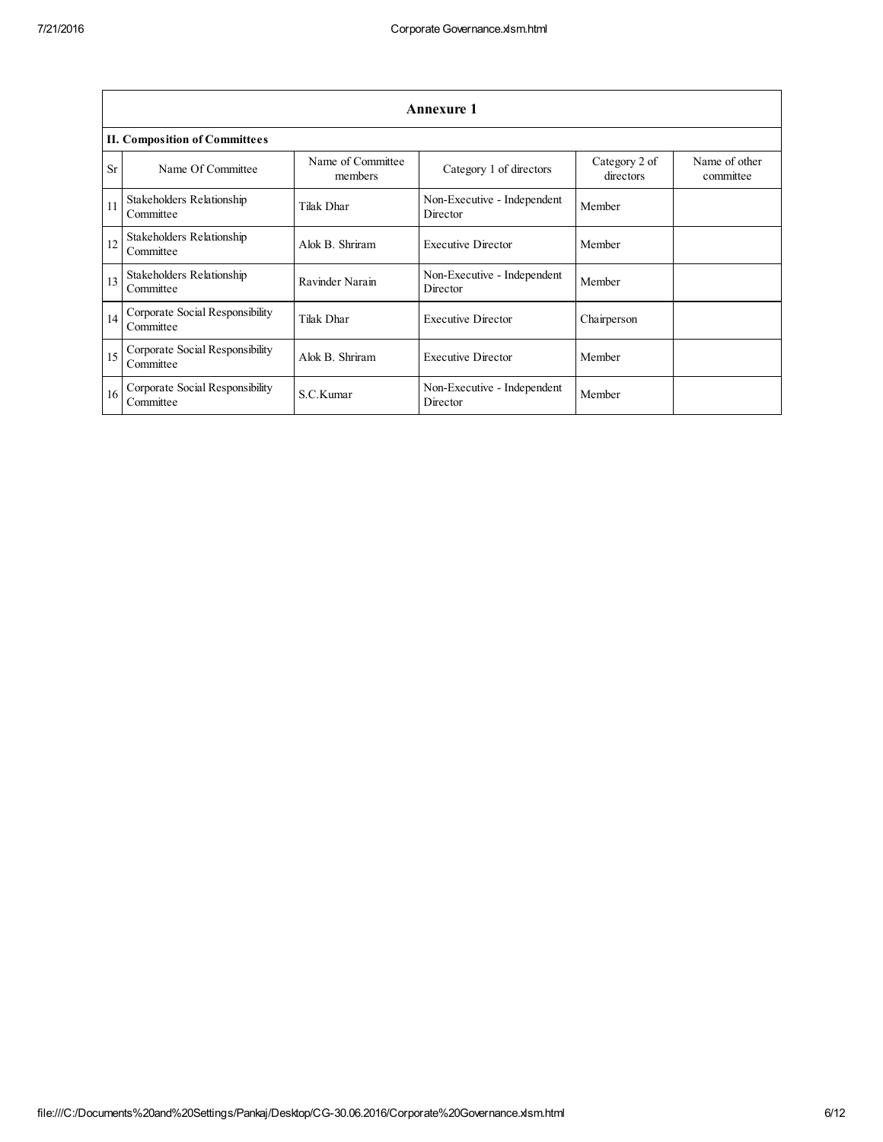|           | <b>Annexure 1</b>                            |                              |                                         |                            |                            |  |  |
|-----------|----------------------------------------------|------------------------------|-----------------------------------------|----------------------------|----------------------------|--|--|
|           | <b>II. Composition of Committees</b>         |                              |                                         |                            |                            |  |  |
| <b>Sr</b> | Name Of Committee                            | Name of Committee<br>members | Category 1 of directors                 | Category 2 of<br>directors | Name of other<br>committee |  |  |
| 11        | Stakeholders Relationship<br>Committee       | Tilak Dhar                   | Non-Executive - Independent<br>Director | Member                     |                            |  |  |
| 12        | Stakeholders Relationship<br>Committee       | Alok B. Shriram              | <b>Executive Director</b>               | Member                     |                            |  |  |
| 13        | Stakeholders Relationship<br>Committee       | Ravinder Narain              | Non-Executive - Independent<br>Director | Member                     |                            |  |  |
| 14        | Corporate Social Responsibility<br>Committee | Tilak Dhar                   | <b>Executive Director</b>               | Chairperson                |                            |  |  |
| 15        | Corporate Social Responsibility<br>Committee | Alok B. Shriram              | <b>Executive Director</b>               | Member                     |                            |  |  |
| 16        | Corporate Social Responsibility<br>Committee | S.C.Kumar                    | Non-Executive - Independent<br>Director | Member                     |                            |  |  |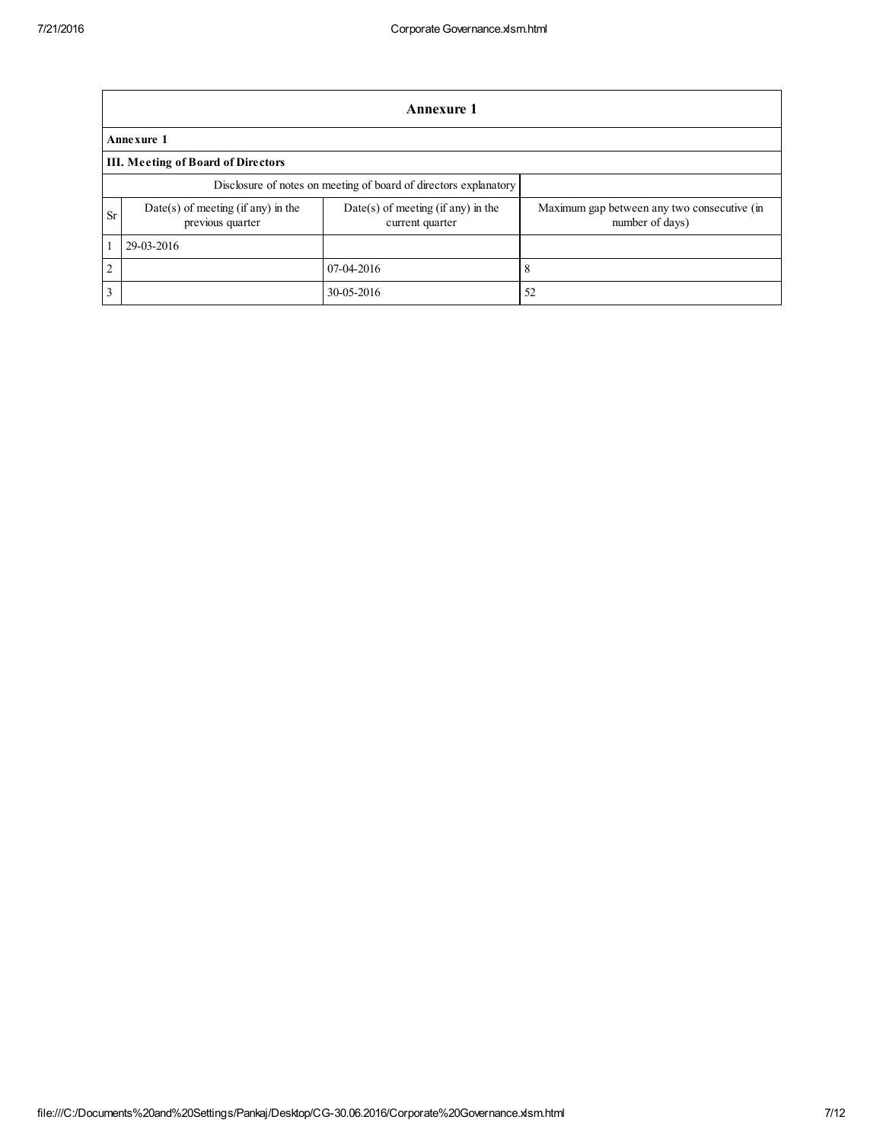|                | <b>Annexure 1</b>                                                |                                                         |                                                                |  |  |  |  |  |  |
|----------------|------------------------------------------------------------------|---------------------------------------------------------|----------------------------------------------------------------|--|--|--|--|--|--|
|                | Annexure 1                                                       |                                                         |                                                                |  |  |  |  |  |  |
|                | <b>III. Meeting of Board of Directors</b>                        |                                                         |                                                                |  |  |  |  |  |  |
|                | Disclosure of notes on meeting of board of directors explanatory |                                                         |                                                                |  |  |  |  |  |  |
| <b>Sr</b>      | $Date(s)$ of meeting (if any) in the<br>previous quarter         | $Date(s)$ of meeting (if any) in the<br>current quarter | Maximum gap between any two consecutive (in<br>number of days) |  |  |  |  |  |  |
|                | 29-03-2016                                                       |                                                         |                                                                |  |  |  |  |  |  |
| $\overline{2}$ |                                                                  | 07-04-2016                                              | 8                                                              |  |  |  |  |  |  |
| 3              |                                                                  | 30-05-2016                                              | 52                                                             |  |  |  |  |  |  |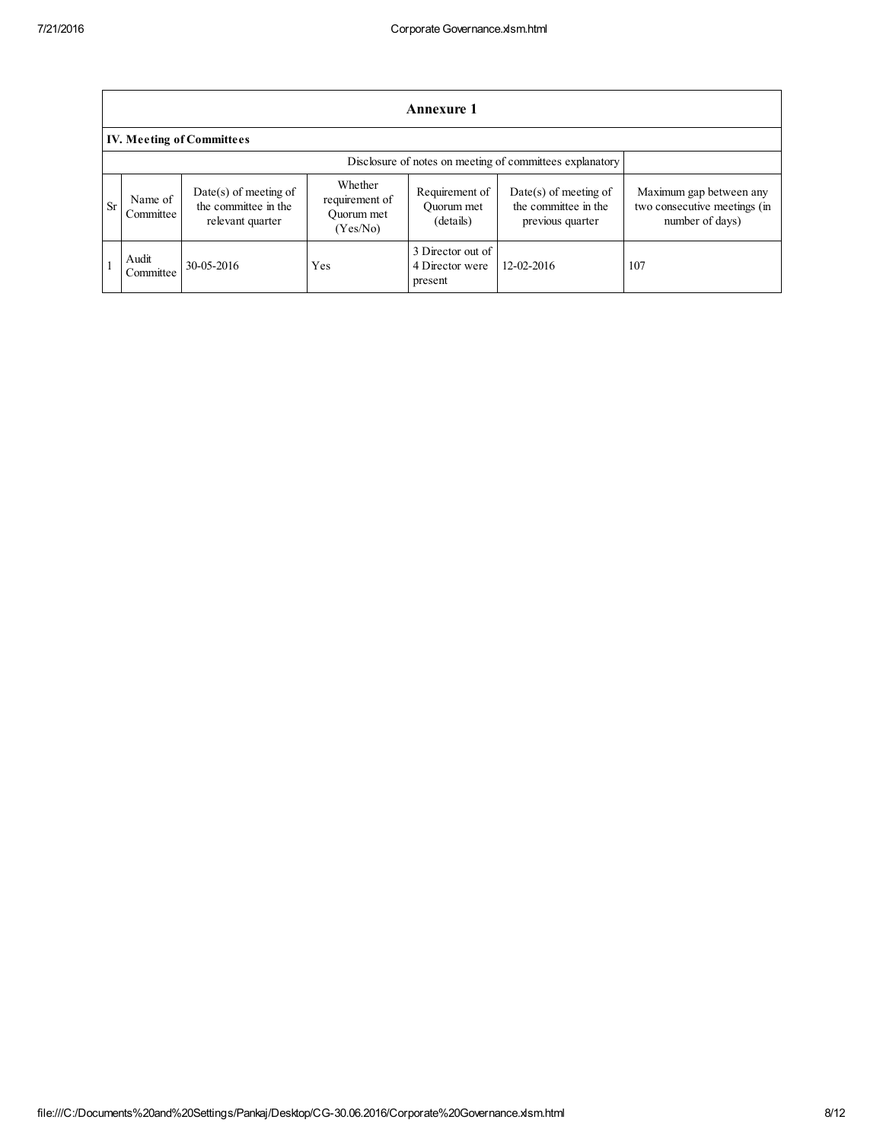|    | <b>Annexure 1</b>                                        |                                                                     |                                                     |                                                 |                                                                     |                                                                            |  |  |
|----|----------------------------------------------------------|---------------------------------------------------------------------|-----------------------------------------------------|-------------------------------------------------|---------------------------------------------------------------------|----------------------------------------------------------------------------|--|--|
|    | <b>IV. Meeting of Committees</b>                         |                                                                     |                                                     |                                                 |                                                                     |                                                                            |  |  |
|    | Disclosure of notes on meeting of committees explanatory |                                                                     |                                                     |                                                 |                                                                     |                                                                            |  |  |
| Sr | Name of<br>Committee                                     | $Date(s)$ of meeting of<br>the committee in the<br>relevant quarter | Whether<br>requirement of<br>Ouorum met<br>(Yes/No) | Requirement of<br>Ouorum met<br>(details)       | $Date(s)$ of meeting of<br>the committee in the<br>previous quarter | Maximum gap between any<br>two consecutive meetings (in<br>number of days) |  |  |
|    | Audit<br>Committee                                       | 30-05-2016                                                          | Yes                                                 | 3 Director out of<br>4 Director were<br>present | 12-02-2016                                                          | 107                                                                        |  |  |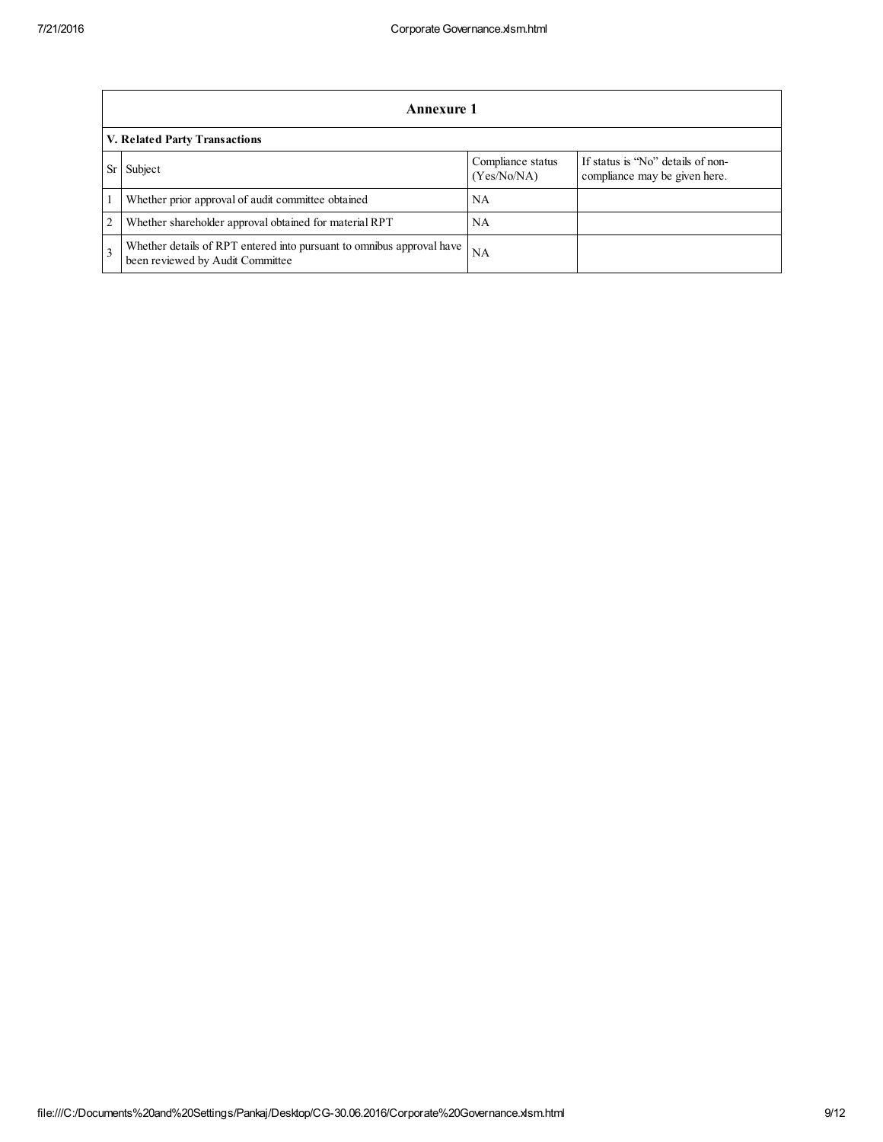|                | Annexure 1                                                                                                |                                  |                                                                    |  |  |  |  |
|----------------|-----------------------------------------------------------------------------------------------------------|----------------------------------|--------------------------------------------------------------------|--|--|--|--|
|                | V. Related Party Transactions                                                                             |                                  |                                                                    |  |  |  |  |
|                | Subject                                                                                                   | Compliance status<br>(Yes/No/NA) | If status is "No" details of non-<br>compliance may be given here. |  |  |  |  |
|                | Whether prior approval of audit committee obtained                                                        | NA                               |                                                                    |  |  |  |  |
| $\overline{2}$ | Whether shareholder approval obtained for material RPT                                                    | NA                               |                                                                    |  |  |  |  |
| $\mathcal{R}$  | Whether details of RPT entered into pursuant to omnibus approval have<br>been reviewed by Audit Committee | NA                               |                                                                    |  |  |  |  |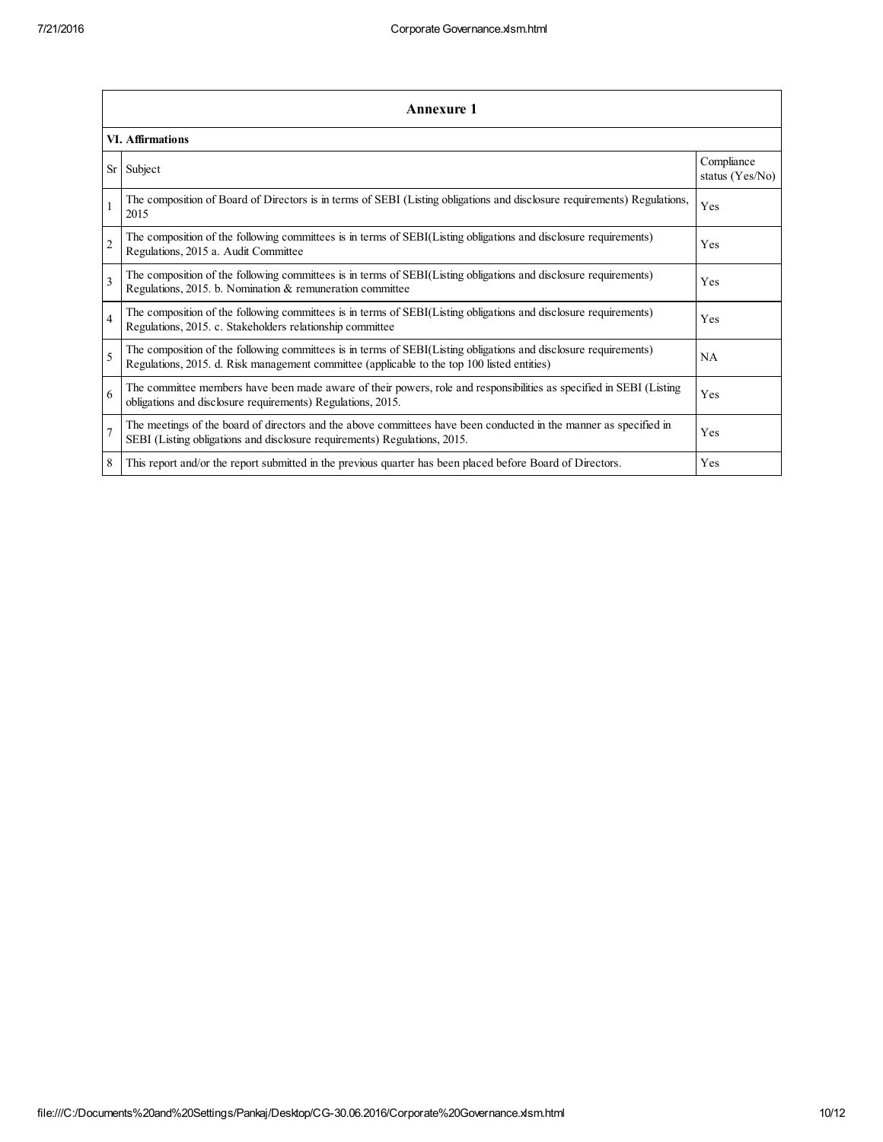|                | <b>Annexure 1</b>                                                                                                                                                                                               |                               |  |  |  |  |  |  |
|----------------|-----------------------------------------------------------------------------------------------------------------------------------------------------------------------------------------------------------------|-------------------------------|--|--|--|--|--|--|
|                | <b>VI. Affirmations</b>                                                                                                                                                                                         |                               |  |  |  |  |  |  |
| <b>Sr</b>      | Subject                                                                                                                                                                                                         | Compliance<br>status (Yes/No) |  |  |  |  |  |  |
| $\mathbf{1}$   | The composition of Board of Directors is in terms of SEBI (Listing obligations and disclosure requirements) Regulations,<br>2015                                                                                | Yes                           |  |  |  |  |  |  |
| $\overline{c}$ | The composition of the following committees is in terms of SEBI(Listing obligations and disclosure requirements)<br>Regulations, 2015 a. Audit Committee                                                        | Yes                           |  |  |  |  |  |  |
| 3              | The composition of the following committees is in terms of SEBI(Listing obligations and disclosure requirements)<br>Regulations, 2015. b. Nomination & remuneration committee                                   | Yes                           |  |  |  |  |  |  |
| $\overline{4}$ | The composition of the following committees is in terms of SEBI(Listing obligations and disclosure requirements)<br>Regulations, 2015. c. Stakeholders relationship committee                                   | Yes                           |  |  |  |  |  |  |
| 5              | The composition of the following committees is in terms of SEBI(Listing obligations and disclosure requirements)<br>Regulations, 2015. d. Risk management committee (applicable to the top 100 listed entities) | <b>NA</b>                     |  |  |  |  |  |  |
| 6              | The committee members have been made aware of their powers, role and responsibilities as specified in SEBI (Listing<br>obligations and disclosure requirements) Regulations, 2015.                              | Yes                           |  |  |  |  |  |  |
| $\overline{7}$ | The meetings of the board of directors and the above committees have been conducted in the manner as specified in<br>SEBI (Listing obligations and disclosure requirements) Regulations, 2015.                  | Yes                           |  |  |  |  |  |  |
| 8              | This report and/or the report submitted in the previous quarter has been placed before Board of Directors.                                                                                                      | Yes                           |  |  |  |  |  |  |